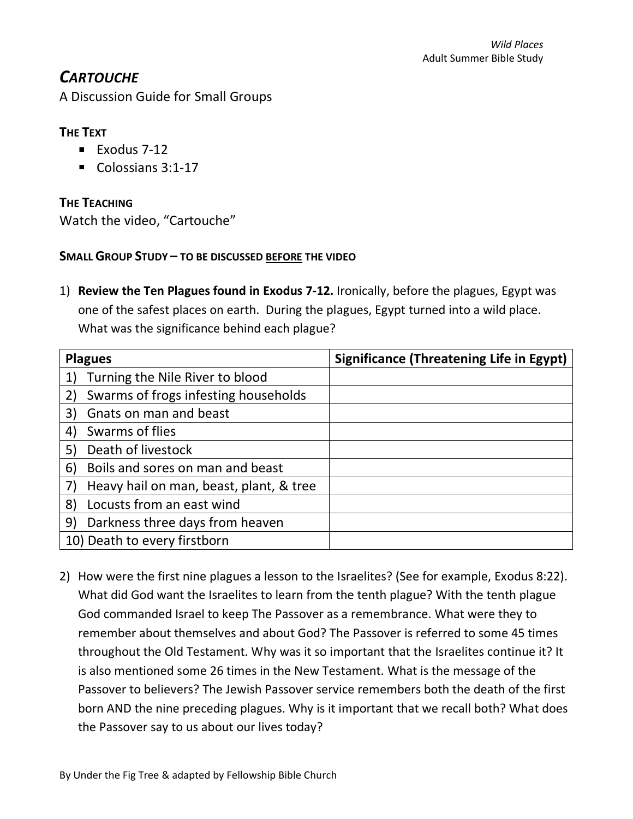# *CARTOUCHE*

A Discussion Guide for Small Groups

# **THE TEXT**

- $\blacksquare$  Exodus 7-12
- Colossians 3:1-17

**THE TEACHING**

Watch the video, "Cartouche"

## **SMALL GROUP STUDY – TO BE DISCUSSED BEFORE THE VIDEO**

1) **Review the Ten Plagues found in Exodus 7-12.** Ironically, before the plagues, Egypt was one of the safest places on earth. During the plagues, Egypt turned into a wild place. What was the significance behind each plague?

| <b>Plagues</b>                           | <b>Significance (Threatening Life in Egypt)</b> |
|------------------------------------------|-------------------------------------------------|
| Turning the Nile River to blood          |                                                 |
| Swarms of frogs infesting households     |                                                 |
| Gnats on man and beast<br>3)             |                                                 |
| Swarms of flies<br> 4                    |                                                 |
| Death of livestock<br>5)                 |                                                 |
| Boils and sores on man and beast<br>6)   |                                                 |
| Heavy hail on man, beast, plant, & tree  |                                                 |
| Locusts from an east wind<br>$ 8\rangle$ |                                                 |
| 9)<br>Darkness three days from heaven    |                                                 |
| 10) Death to every firstborn             |                                                 |

2) How were the first nine plagues a lesson to the Israelites? (See for example, Exodus 8:22). What did God want the Israelites to learn from the tenth plague? With the tenth plague God commanded Israel to keep The Passover as a remembrance. What were they to remember about themselves and about God? The Passover is referred to some 45 times throughout the Old Testament. Why was it so important that the Israelites continue it? It is also mentioned some 26 times in the New Testament. What is the message of the Passover to believers? The Jewish Passover service remembers both the death of the first born AND the nine preceding plagues. Why is it important that we recall both? What does the Passover say to us about our lives today?